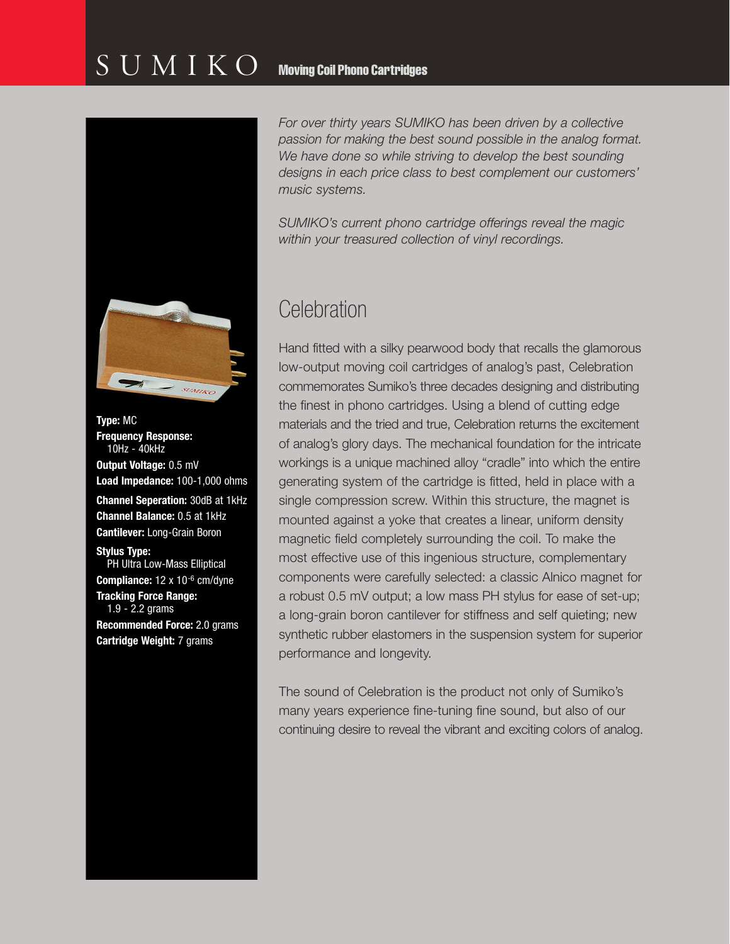### $\text{S} \text{U} \text{M} \text{I} \text{K} \text{O}$  Moving Coil Phono Cartridges



**Type:** MC **Frequency Response:** 10Hz - 40kHz **Output Voltage:** 0.5 mV **Load Impedance:** 100-1,000 ohms **Channel Seperation:** 30dB at 1kHz **Channel Balance:** 0.5 at 1kHz **Cantilever:** Long-Grain Boron **Stylus Type:**  PH Ultra Low-Mass Elliptical **Compliance:** 12 x 10-6 cm/dyne **Tracking Force Range:** 1.9 - 2.2 grams

**Recommended Force:** 2.0 grams **Cartridge Weight:** 7 grams

*For over thirty years SUMIKO has been driven by a collective passion for making the best sound possible in the analog format. We have done so while striving to develop the best sounding designs in each price class to best complement our customers' music systems.*

*SUMIKO's current phono cartridge offerings reveal the magic within your treasured collection of vinyl recordings.* 

### **Celebration**

Hand fitted with a silky pearwood body that recalls the glamorous low-output moving coil cartridges of analog's past, Celebration commemorates Sumiko's three decades designing and distributing the finest in phono cartridges. Using a blend of cutting edge materials and the tried and true, Celebration returns the excitement of analog's glory days. The mechanical foundation for the intricate workings is a unique machined alloy "cradle" into which the entire generating system of the cartridge is fitted, held in place with a single compression screw. Within this structure, the magnet is mounted against a yoke that creates a linear, uniform density magnetic field completely surrounding the coil. To make the most effective use of this ingenious structure, complementary components were carefully selected: a classic Alnico magnet for a robust 0.5 mV output; a low mass PH stylus for ease of set-up; a long-grain boron cantilever for stiffness and self quieting; new synthetic rubber elastomers in the suspension system for superior performance and longevity.

The sound of Celebration is the product not only of Sumiko's many years experience fine-tuning fine sound, but also of our continuing desire to reveal the vibrant and exciting colors of analog.